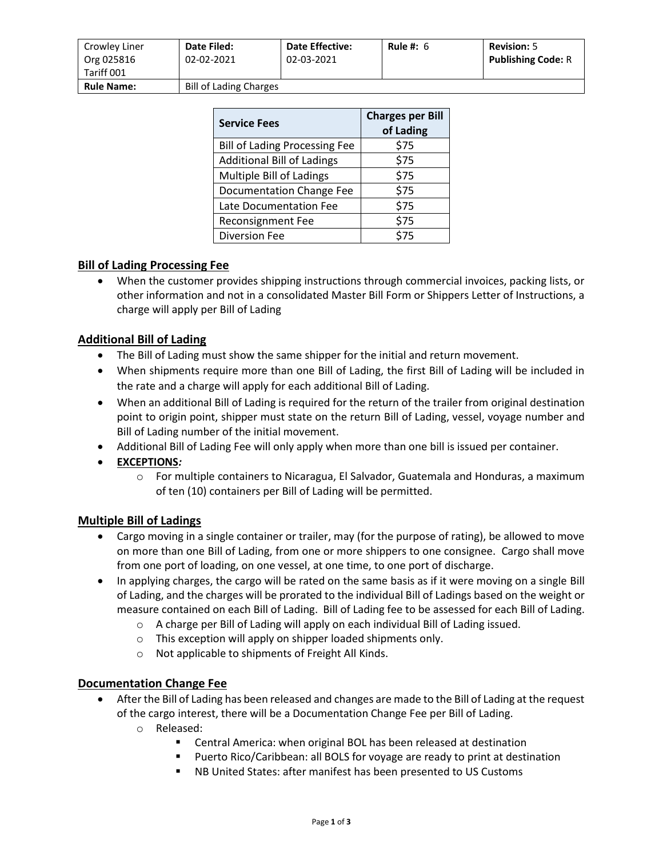| Crowley Liner<br>Org 025816<br>Tariff 001 | <b>Date Filed:</b><br>02-02-2021 | <b>Date Effective:</b><br>02-03-2021 | Rule #: $6$ | <b>Revision: 5</b><br><b>Publishing Code: R</b> |
|-------------------------------------------|----------------------------------|--------------------------------------|-------------|-------------------------------------------------|
| <b>Rule Name:</b>                         | <b>Bill of Lading Charges</b>    |                                      |             |                                                 |

| <b>Service Fees</b>                  | <b>Charges per Bill</b><br>of Lading |  |  |
|--------------------------------------|--------------------------------------|--|--|
| <b>Bill of Lading Processing Fee</b> | \$75                                 |  |  |
| <b>Additional Bill of Ladings</b>    | \$75                                 |  |  |
| Multiple Bill of Ladings             | \$75                                 |  |  |
| Documentation Change Fee             | \$75                                 |  |  |
| Late Documentation Fee               | \$75                                 |  |  |
| <b>Reconsignment Fee</b>             | \$75                                 |  |  |
| <b>Diversion Fee</b>                 | \$75                                 |  |  |

## **Bill of Lading Processing Fee**

• When the customer provides shipping instructions through commercial invoices, packing lists, or other information and not in a consolidated Master Bill Form or Shippers Letter of Instructions, a charge will apply per Bill of Lading

### **Additional Bill of Lading**

- The Bill of Lading must show the same shipper for the initial and return movement.
- When shipments require more than one Bill of Lading, the first Bill of Lading will be included in the rate and a charge will apply for each additional Bill of Lading.
- When an additional Bill of Lading is required for the return of the trailer from original destination point to origin point, shipper must state on the return Bill of Lading, vessel, voyage number and Bill of Lading number of the initial movement.
- Additional Bill of Lading Fee will only apply when more than one bill is issued per container.
- **EXCEPTIONS***:*
	- o For multiple containers to Nicaragua, El Salvador, Guatemala and Honduras, a maximum of ten (10) containers per Bill of Lading will be permitted.

### **Multiple Bill of Ladings**

- Cargo moving in a single container or trailer, may (for the purpose of rating), be allowed to move on more than one Bill of Lading, from one or more shippers to one consignee. Cargo shall move from one port of loading, on one vessel, at one time, to one port of discharge.
- In applying charges, the cargo will be rated on the same basis as if it were moving on a single Bill of Lading, and the charges will be prorated to the individual Bill of Ladings based on the weight or measure contained on each Bill of Lading. Bill of Lading fee to be assessed for each Bill of Lading.
	- o A charge per Bill of Lading will apply on each individual Bill of Lading issued.
	- o This exception will apply on shipper loaded shipments only.
	- o Not applicable to shipments of Freight All Kinds.

### **Documentation Change Fee**

- After the Bill of Lading has been released and changes are made to the Bill of Lading at the request of the cargo interest, there will be a Documentation Change Fee per Bill of Lading.
	- o Released:
		- Central America: when original BOL has been released at destination
		- Puerto Rico/Caribbean: all BOLS for voyage are ready to print at destination
		- NB United States: after manifest has been presented to US Customs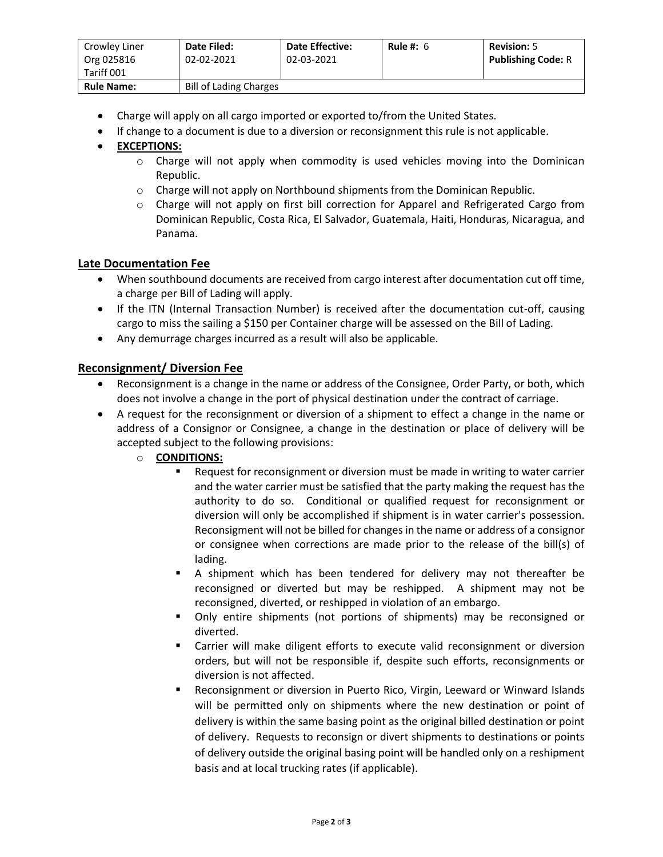| Crowley Liner<br>Org 025816<br>Tariff 001 | Date Filed:<br>02-02-2021     | <b>Date Effective:</b><br>02-03-2021 | Rule #: $6$ | <b>Revision: 5</b><br><b>Publishing Code: R</b> |
|-------------------------------------------|-------------------------------|--------------------------------------|-------------|-------------------------------------------------|
| <b>Rule Name:</b>                         | <b>Bill of Lading Charges</b> |                                      |             |                                                 |

- Charge will apply on all cargo imported or exported to/from the United States.
- If change to a document is due to a diversion or reconsignment this rule is not applicable.

# • **EXCEPTIONS:**

- o Charge will not apply when commodity is used vehicles moving into the Dominican Republic.
- o Charge will not apply on Northbound shipments from the Dominican Republic.
- o Charge will not apply on first bill correction for Apparel and Refrigerated Cargo from Dominican Republic, Costa Rica, El Salvador, Guatemala, Haiti, Honduras, Nicaragua, and Panama.

### **Late Documentation Fee**

- When southbound documents are received from cargo interest after documentation cut off time, a charge per Bill of Lading will apply.
- If the ITN (Internal Transaction Number) is received after the documentation cut-off, causing cargo to miss the sailing a \$150 per Container charge will be assessed on the Bill of Lading.
- Any demurrage charges incurred as a result will also be applicable.

### **Reconsignment/ Diversion Fee**

- Reconsignment is a change in the name or address of the Consignee, Order Party, or both, which does not involve a change in the port of physical destination under the contract of carriage.
- A request for the reconsignment or diversion of a shipment to effect a change in the name or address of a Consignor or Consignee, a change in the destination or place of delivery will be accepted subject to the following provisions:
	- o **CONDITIONS:**
		- Request for reconsignment or diversion must be made in writing to water carrier and the water carrier must be satisfied that the party making the request has the authority to do so. Conditional or qualified request for reconsignment or diversion will only be accomplished if shipment is in water carrier's possession. Reconsigment will not be billed for changes in the name or address of a consignor or consignee when corrections are made prior to the release of the bill(s) of lading.
		- A shipment which has been tendered for delivery may not thereafter be reconsigned or diverted but may be reshipped. A shipment may not be reconsigned, diverted, or reshipped in violation of an embargo.
		- Only entire shipments (not portions of shipments) may be reconsigned or diverted.
		- Carrier will make diligent efforts to execute valid reconsignment or diversion orders, but will not be responsible if, despite such efforts, reconsignments or diversion is not affected.
		- Reconsignment or diversion in Puerto Rico, Virgin, Leeward or Winward Islands will be permitted only on shipments where the new destination or point of delivery is within the same basing point as the original billed destination or point of delivery. Requests to reconsign or divert shipments to destinations or points of delivery outside the original basing point will be handled only on a reshipment basis and at local trucking rates (if applicable).